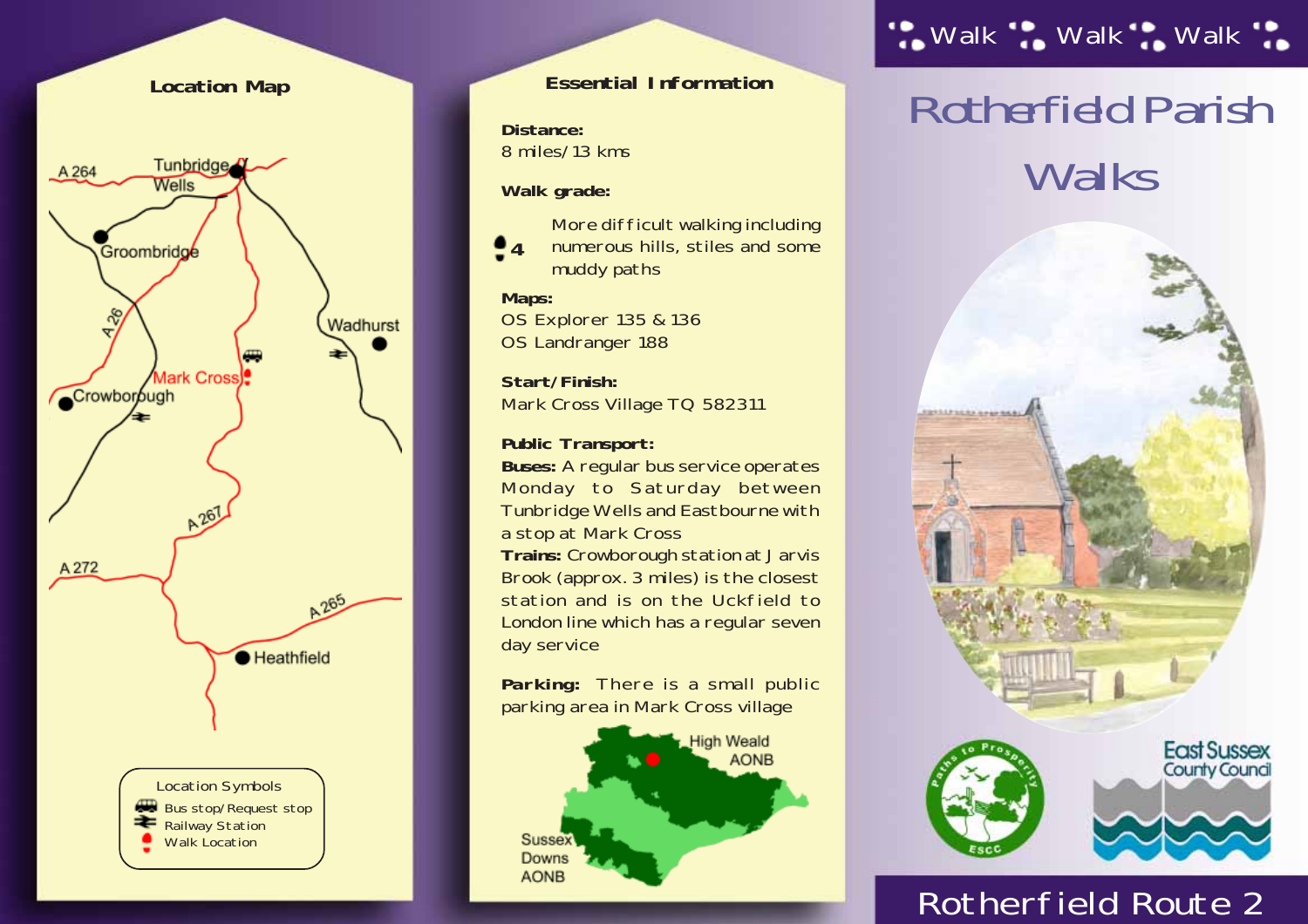

#### **Essential Information**

**Distance:** 8 miles/13 kms

**Walk grade:**



 $\bullet$ <sub>4</sub> muddy paths

#### **Maps:**

OS Explorer 135 & 136 OS Landranger 188

**Start/Finish:** Mark Cross Village TQ 582311

**Public Transport:**

**Buses:** A regular bus service operates Monday to Saturday between Tunbridge Wells and Eastbourne with a stop at Mark Cross **Trains:** Crowborough station at Jarvis Brook (approx. 3 miles) is the closest station and is on the Uckfield to London line which has a regular seven day service

**Parking:** There is a small public parking area in Mark Cross village



## ". Walk ". Walk ". Walk".

# *Rotherfield Parish Walks*



## Rotherfield Route 2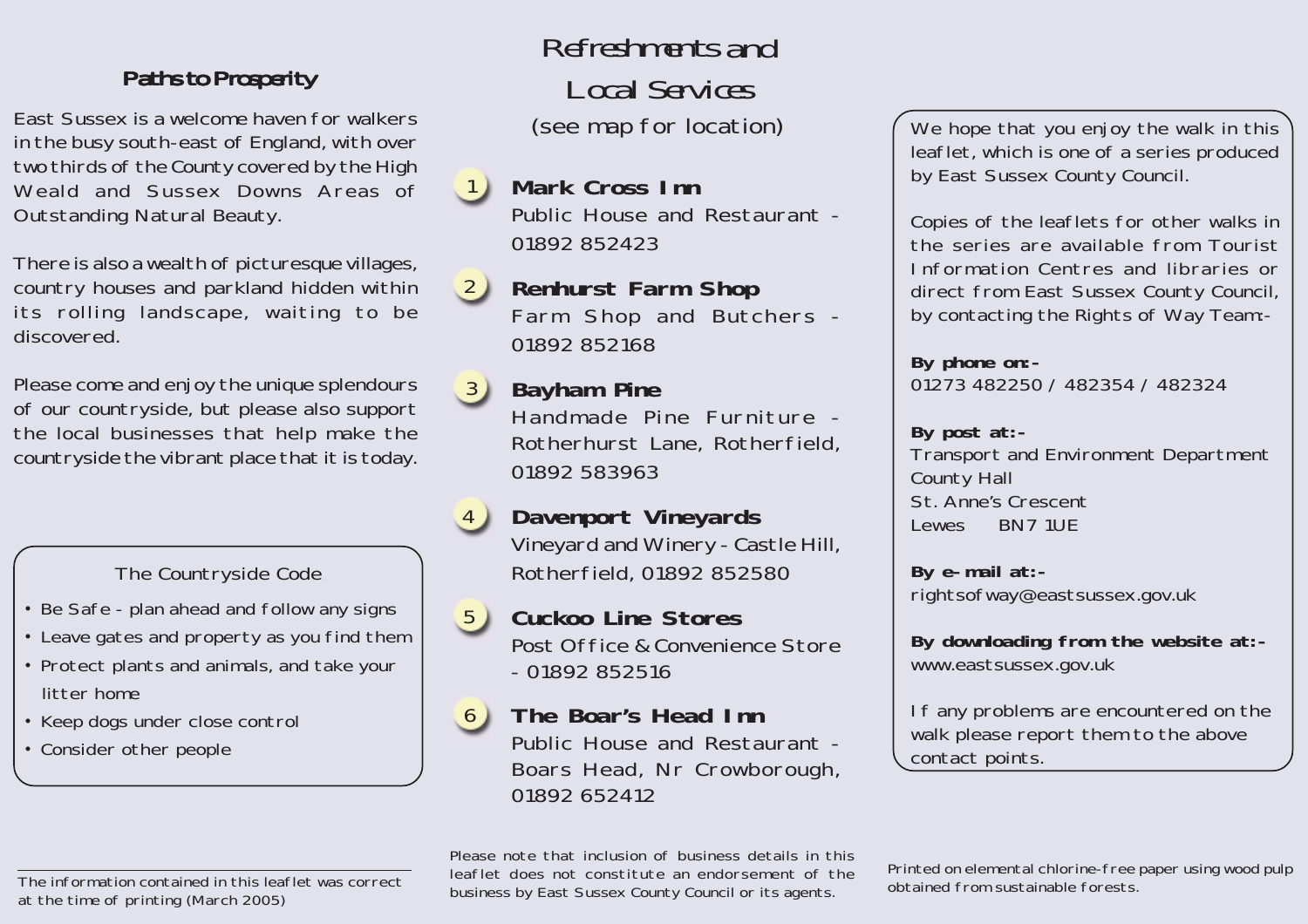#### *Paths to Prosperity Paths to Prosperity*

East Sussex is a welcome haven for walkers in the busy south-east of England, with over two thirds of the County covered by the High Weald and Sussex Downs Areas of Outstanding Natural Beauty.

There is also a wealth of picturesque villages, country houses and parkland hidden within its rolling landscape, waiting to be discovered.

Please come and enjoy the unique splendours of our countryside, but please also support the local businesses that help make the countryside the vibrant place that it is today.

#### The Countryside Code

- Be Safe plan ahead and follow any signs
- Leave gates and property as you find them
- Protect plants and animals, and take your litter home
- Keep dogs under close control
- Consider other people

*Refreshments and Local Services* (see map for location)

**Mark Cross Inn** Public House and Restaurant - 01892 852423 1

#### **Renhurst Farm Shop** Farm Shop and Butchers - 01892 852168  $(2)$

**Bayham Pine** Handmade Pine Furniture - Rotherhurst Lane, Rotherfield, 01892 583963  $\left(3\right)$ 

#### **Davenport Vineyards** Vineyard and Winery - Castle Hill, Rotherfield, 01892 852580 4

**Cuckoo Line Stores** Post Office & Convenience Store - 01892 852516 5

#### **The Boar's Head Inn** Public House and Restaurant - Boars Head, Nr Crowborough, 01892 652412 6

We hope that you enjoy the walk in this leaflet, which is one of a series produced by East Sussex County Council.

Copies of the leaflets for other walks in the series are available from Tourist Information Centres and libraries or direct from East Sussex County Council, by contacting the Rights of Way Team:-

**By phone on:-** 01273 482250 / 482354 / 482324

#### **By post at:-**

Transport and Environment Department County Hall St. Anne's Crescent Lewes BN7 1UE

**By e-mail at:** rightsofway@eastsussex.gov.uk

**By downloading from the website at:** www.eastsussex.gov.uk

If any problems are encountered on the walk please report them to the above contact points.

Please note that inclusion of business details in this leaflet does not constitute an endorsement of the business by East Sussex County Council or its agents.

Printed on elemental chlorine-free paper using wood pulp obtained from sustainable forests.

The information contained in this leaflet was correct at the time of printing (March 2005)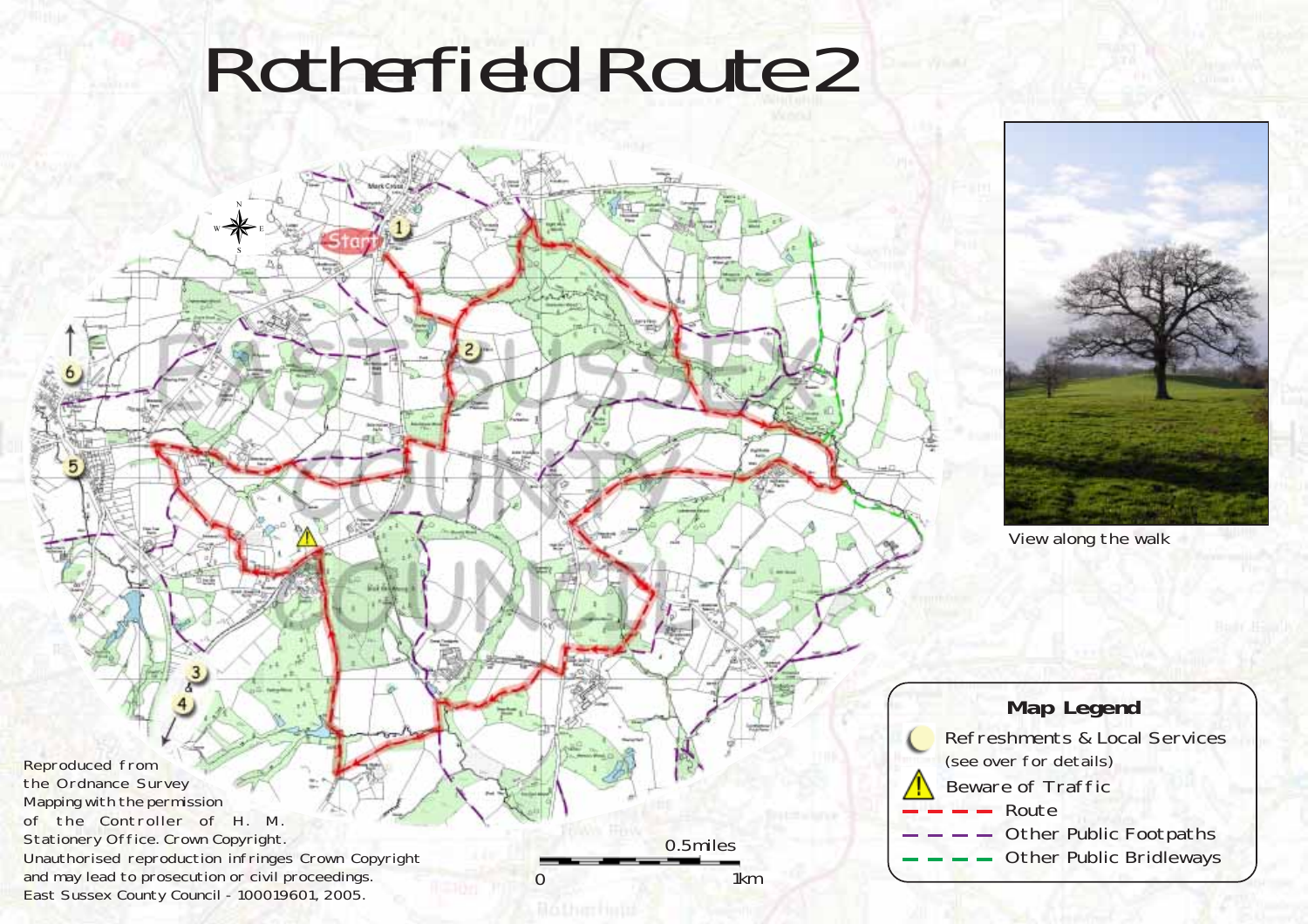# *Rotherfield Route 2*





View along the walk